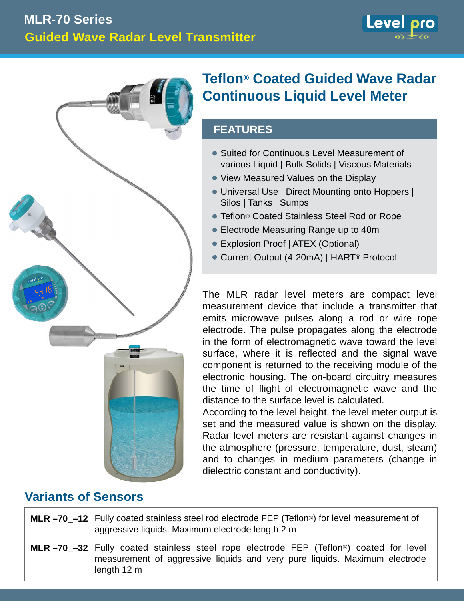



# **Teflon® Coated Guided Wave Radar Continuous Liquid Level Meter**

## **FEATURES**

- Suited for Continuous Level Measurement of various Liquid | Bulk Solids | Viscous Materials
- View Measured Values on the Display
- Universal Use | Direct Mounting onto Hoppers | Silos | Tanks | Sumps
- Teflon® Coated Stainless Steel Rod or Rope •
- Electrode Measuring Range up to 40m •
- Explosion Proof | ATEX (Optional)
- Current Output (4-20mA) | HART® Protocol •

The MLR radar level meters are compact level measurement device that include a transmitter that emits microwave pulses along a rod or wire rope electrode. The pulse propagates along the electrode in the form of electromagnetic wave toward the level surface, where it is reflected and the signal wave component is returned to the receiving module of the electronic housing. The on-board circuitry measures the time of flight of electromagnetic wave and the distance to the surface level is calculated.

According to the level height, the level meter output is set and the measured value is shown on the display. Radar level meters are resistant against changes in the atmosphere (pressure, temperature, dust, steam) and to changes in medium parameters (change in dielectric constant and conductivity).

# **Variants of Sensors**

- **MLR -70\_-12** Fully coated stainless steel rod electrode FEP (Teflon®) for level measurement of aggressive liquids. Maximum electrode length 2 m
- **MLR-70\_-32** Fully coated stainless steel rope electrode FEP (Teflon®) coated for level measurement of aggressive liquids and very pure liquids. Maximum electrode length 12 m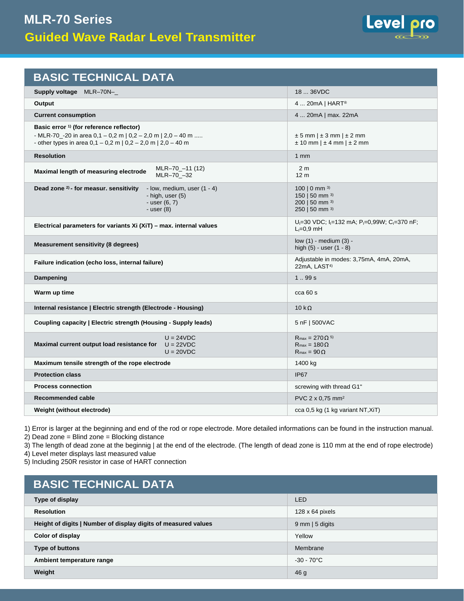

| <b>BASIC TECHNICAL DATA</b>                                                                                                                                                                 |                                                                                                              |  |  |
|---------------------------------------------------------------------------------------------------------------------------------------------------------------------------------------------|--------------------------------------------------------------------------------------------------------------|--|--|
| <b>Supply voltage</b> MLR-70N-                                                                                                                                                              | 18  36VDC                                                                                                    |  |  |
| Output                                                                                                                                                                                      | 4  20mA   HART®                                                                                              |  |  |
| <b>Current consumption</b>                                                                                                                                                                  | 4  20mA   max. 22mA                                                                                          |  |  |
| Basic error <sup>1)</sup> (for reference reflector)<br>- MLR-70_-20 in area $0,1 - 0,2$ m   $0,2 - 2,0$ m   $2,0 - 40$ m<br>- other types in area $0,1 - 0,2$ m $0,2 - 2,0$ m $1,20 - 40$ m | $\pm 5$ mm   $\pm 3$ mm   $\pm 2$ mm<br>$\pm$ 10 mm   $\pm$ 4 mm   $\pm$ 2 mm                                |  |  |
| <b>Resolution</b>                                                                                                                                                                           | 1 <sub>mm</sub>                                                                                              |  |  |
| MLR-70_-11 (12)<br>Maximal length of measuring electrode<br>MLR-70 -32                                                                                                                      | 2 <sub>m</sub><br>12 <sub>m</sub>                                                                            |  |  |
| Dead zone <sup>2)</sup> - for measur. sensitivity<br>- low, medium, user $(1 - 4)$<br>$-$ high, user $(5)$<br>$-$ user $(6, 7)$<br>- user (8)                                               | 100   0 mm $^{3)}$<br>150   50 mm 3)<br>200   50 mm 3)<br>250   50 mm 3)                                     |  |  |
| Electrical parameters for variants Xi (XiT) - max. internal values                                                                                                                          | $U_1 = 30$ VDC; $I_1 = 132$ mA; $P_1 = 0,99W$ ; C <sub>I</sub> =370 nF;<br>$L_1=0.9$ mH                      |  |  |
| <b>Measurement sensitivity (8 degrees)</b>                                                                                                                                                  | low (1) - medium (3) -<br>high $(5)$ - user $(1 - 8)$                                                        |  |  |
| Failure indication (echo loss, internal failure)                                                                                                                                            | Adjustable in modes: 3,75mA, 4mA, 20mA,<br>22mA, LAST <sup>4)</sup>                                          |  |  |
| Dampening                                                                                                                                                                                   | 1.99s                                                                                                        |  |  |
| Warm up time                                                                                                                                                                                | cca60s                                                                                                       |  |  |
| Internal resistance   Electric strength (Electrode - Housing)                                                                                                                               | $10 k\Omega$                                                                                                 |  |  |
| Coupling capacity   Electric strength (Housing - Supply leads)                                                                                                                              | 5 nF   500VAC                                                                                                |  |  |
| $U = 24 VDC$<br>Maximal current output load resistance for<br>$U = 22VDC$<br>$U = 20 VDC$                                                                                                   | $R_{\text{max}} = 270 \Omega$ <sup>5)</sup><br>$R_{\text{max}} = 180 \Omega$<br>$R_{\text{max}} = 90 \Omega$ |  |  |
| Maximum tensile strength of the rope electrode                                                                                                                                              | 1400 kg                                                                                                      |  |  |
| <b>Protection class</b>                                                                                                                                                                     | <b>IP67</b>                                                                                                  |  |  |
| <b>Process connection</b>                                                                                                                                                                   | screwing with thread G1"                                                                                     |  |  |
| Recommended cable                                                                                                                                                                           | PVC $2 \times 0.75$ mm <sup>2</sup>                                                                          |  |  |
| Weight (without electrode)                                                                                                                                                                  | cca 0,5 kg (1 kg variant NT, XiT)                                                                            |  |  |

1) Error is larger at the beginning and end of the rod or rope electrode. More detailed informations can be found in the instruction manual. 2) Dead zone = Blind zone = Blocking distance

3) The length of dead zone at the beginnig | at the end of the electrode. (The length of dead zone is 110 mm at the end of rope electrode)

4) Level meter displays last measured value

5) Including 250R resistor in case of HART connection

| <b>BASIC TECHNICAL DATA</b>                                    |                           |  |  |  |
|----------------------------------------------------------------|---------------------------|--|--|--|
| Type of display                                                | LED                       |  |  |  |
| <b>Resolution</b>                                              | $128 \times 64$ pixels    |  |  |  |
| Height of digits   Number of display digits of measured values | $9 \text{ mm}$   5 digits |  |  |  |
| Color of display                                               | Yellow                    |  |  |  |
| <b>Type of buttons</b>                                         | Membrane                  |  |  |  |
| Ambient temperature range                                      | $-30 - 70^{\circ}$ C      |  |  |  |
| Weight                                                         | 46 <sub>g</sub>           |  |  |  |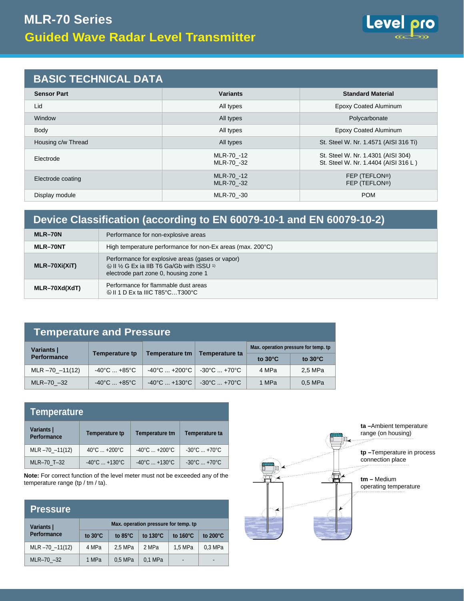

## **BASIC TECHNICAL DATA**

| <b>Sensor Part</b> | <b>Variants</b>                           | <b>Standard Material</b>                                                   |  |  |
|--------------------|-------------------------------------------|----------------------------------------------------------------------------|--|--|
| Lid                | <b>Epoxy Coated Aluminum</b><br>All types |                                                                            |  |  |
| Window             | Polycarbonate<br>All types                |                                                                            |  |  |
| Body               | All types                                 | <b>Epoxy Coated Aluminum</b>                                               |  |  |
| Housing c/w Thread | All types                                 | St. Steel W. Nr. 1.4571 (AISI 316 Ti)                                      |  |  |
| Electrode          | MLR-70 -12<br>MLR-70 -32                  | St. Steel W. Nr. 1.4301 (AISI 304)<br>St. Steel W. Nr. 1.4404 (AISI 316 L) |  |  |
| Electrode coating  | MLR-70 -12<br>MLR-70 -32                  | FEP (TEFLON <sup>®</sup> )<br>FEP (TEFLON®)                                |  |  |
| Display module     | MLR-70 -30                                | <b>POM</b>                                                                 |  |  |

# **Device Classification (according to EN 60079-10-1 and EN 60079-10-2)**

| MLR-70N         | Performance for non-explosive areas                                                                                                                           |  |
|-----------------|---------------------------------------------------------------------------------------------------------------------------------------------------------------|--|
| MLR-70NT        | High temperature performance for non-Ex areas (max. 200°C)                                                                                                    |  |
| $MLR-70Xi(XiT)$ | Performance for explosive areas (gases or vapor)<br>⊗II 1/ <sub>2</sub> G Ex ia IIB T6 Ga/Gb with ISSU <sup>1)</sup><br>electrode part zone 0, housing zone 1 |  |
| MLR-70Xd(XdT)   | Performance for flammable dust areas<br>$\circledR$ II 1 D Ex ta IIIC T85 $^{\circ}$ CT300 $^{\circ}$ C                                                       |  |

| <b>Temperature and Pressure</b> |                                 |                                                |                                   |                                      |                   |  |
|---------------------------------|---------------------------------|------------------------------------------------|-----------------------------------|--------------------------------------|-------------------|--|
| Variants                        |                                 |                                                |                                   | Max. operation pressure for temp. tp |                   |  |
| <b>Performance</b>              | <b>Temperature tp</b>           | <b>Temperature tm</b>                          | Temperature ta                    | to $30^{\circ}$ C                    | to $30^{\circ}$ C |  |
| $MLR - 70 - 11(12)$             | $-40^{\circ}$ C $+85^{\circ}$ C | $-40^{\circ}$ C $+200^{\circ}$ C               | $-30^{\circ}$ C $+70^{\circ}$ C   | 4 MPa                                | 2.5 MPa           |  |
| MLR-70 -32                      | $-40^{\circ}$ C $+85^{\circ}$ C | $-40^{\circ}$ C  +130 $^{\circ}$ C $\parallel$ | $-30^{\circ}$ C  +70 $^{\circ}$ C | 1 MPa                                | 0.5 MPa           |  |

| Temperature                      |                                   |                                    |                                   |  |
|----------------------------------|-----------------------------------|------------------------------------|-----------------------------------|--|
| Variants  <br><b>Performance</b> | <b>Temperature tp</b>             | <b>Temperature tm</b>              | Temperature ta                    |  |
| $MLR - 70 - 11(12)$              | $40^{\circ}$ C $ + 200^{\circ}$ C | $-40^{\circ}$ C $+200^{\circ}$ C   | $-30^{\circ}$ C  +70 $^{\circ}$ C |  |
| MLR-70 T-32                      | $-40^{\circ}$ C $+130^{\circ}$ C  | $-40^{\circ}$ C  +130 $^{\circ}$ C | $-30^{\circ}$ C  +70 $^{\circ}$ C |  |

**Note:** For correct function of the level meter must not be exceeded any of the temperature range (tp / tm / ta).

| <b>Pressure</b>     |                                      |                   |                    |                    |                |
|---------------------|--------------------------------------|-------------------|--------------------|--------------------|----------------|
| Variants            | Max. operation pressure for temp. tp |                   |                    |                    |                |
| <b>Performance</b>  | to $30^{\circ}$ C                    | to $85^{\circ}$ C | to $130^{\circ}$ C | to $160^{\circ}$ C | to 200°C       |
| $MLR - 70 - 11(12)$ | 4 MPa                                | 2.5 MPa           | 2 MPa              | 1,5 MPa            | 0.3 MPa        |
| $MLR-70 -32$        | 1 MPa                                | 0.5 MPa           | 0.1 MPa            | $\blacksquare$     | $\blacksquare$ |

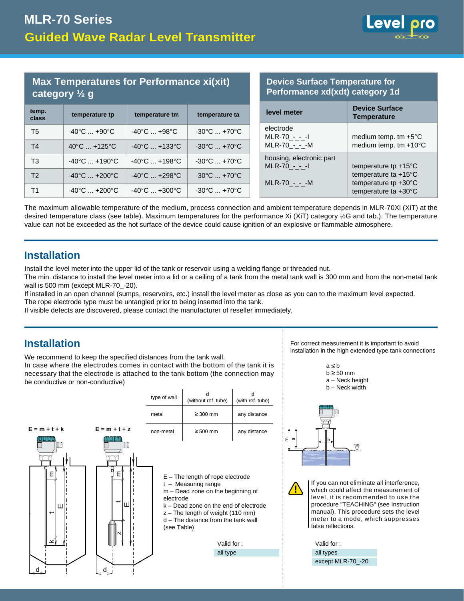

#### **Max Temperatures for Performance xi(xit) category ½ g**

| temp.<br>class | temperature tp                    | temperature tm                   | temperature ta                    | level meter                               | <b>Device Surface</b><br><b>Temperature</b> |
|----------------|-----------------------------------|----------------------------------|-----------------------------------|-------------------------------------------|---------------------------------------------|
| T <sub>5</sub> | $-40^{\circ}$ C $+90^{\circ}$ C   | $-40^{\circ}$ C $+98^{\circ}$ C  | $-30^{\circ}$ C $ + 70^{\circ}$ C | electrode<br>$MLR-70 - -1$                | medium temp. tn                             |
| T <sub>4</sub> | $40^{\circ}$ C  +125 $^{\circ}$ C | $-40^{\circ}$ C $+133^{\circ}$ C | $-30^{\circ}$ C $+70^{\circ}$ C   | $MLR-70 - - M$                            | medium temp. tn                             |
| T <sub>3</sub> | $-40^{\circ}$ C $+190^{\circ}$ C  | $-40^{\circ}$ C $+198^{\circ}$ C | $-30^{\circ}$ C $ + 70^{\circ}$ C | housing, electronic part<br>$MLR-70 - -1$ | temperature tp +                            |
| T <sub>2</sub> | $-40^{\circ}$ C $+200^{\circ}$ C  | $-40^{\circ}$ C $+298^{\circ}$ C | $-30^{\circ}$ C $+70^{\circ}$ C   | $MLR-70 - - M$                            | temperature ta +                            |
| T1             | $-40^{\circ}$ C $+200^{\circ}$ C  | $-40^{\circ}$ C $+300^{\circ}$ C | $-30^{\circ}$ C $ + 70^{\circ}$ C |                                           | temperature tp $+$<br>temperature ta +      |

#### **Device Surface Temperature for Performance xd(xdt) category 1d**

| <b>Device Surface</b><br><b>Temperature</b>                                                            |
|--------------------------------------------------------------------------------------------------------|
| medium temp. $tm + 5°C$<br>medium temp. tm +10°C                                                       |
| temperature tp $+15^{\circ}$ C<br>temperature ta +15°C<br>temperature tp +30°C<br>temperature ta +30°C |
|                                                                                                        |

The maximum allowable temperature of the medium, process connection and ambient temperature depends in MLR-70Xi (XiT) at the desired temperature class (see table). Maximum temperatures for the performance Xi (XiT) category ½G and tab.). The temperature value can not be exceeded as the hot surface of the device could cause ignition of an explosive or flammable atmosphere.

#### **Installation**

Install the level meter into the upper lid of the tank or reservoir using a welding flange or threaded nut.

The min. distance to install the level meter into a lid or a ceiling of a tank from the metal tank wall is 300 mm and from the non-metal tank wall is 500 mm (except MLR-70\_-20).

If installed in an open channel (sumps, reservoirs, etc.) install the level meter as close as you can to the maximum level expected.

The rope electrode type must be untangled prior to being inserted into the tank.

If visible defects are discovered, please contact the manufacturer of reseller immediately.

#### **Installation**

We recommend to keep the specified distances from the tank wall. In case where the electrodes comes in contact with the bottom of the tank it is necessary that the electrode is attached to the tank bottom (the connection may be conductive or non-conductive)



For correct measurement it is important to avoid installation in the high extended type tank connections



 $a \leq b$ 

If you can not eliminate all interference, which could affect the measurement of level, it is recommended to use the procedure "TEACHING" (see Instruction manual). This procedure sets the level meter to a mode, which suppresses false reflections.

```
Valid for :
all types
except MLR-70_-20
```